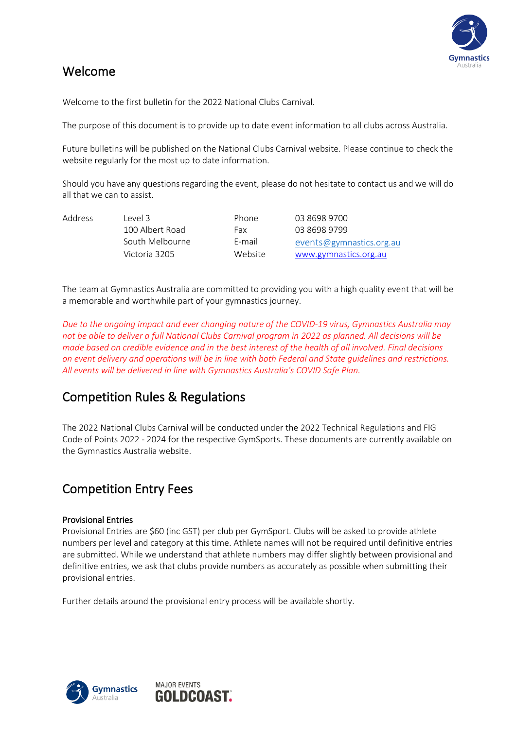

#### Welcome

Welcome to the first bulletin for the 2022 National Clubs Carnival.

The purpose of this document is to provide up to date event information to all clubs across Australia.

Future bulletins will be published on the National Clubs Carnival website. Please continue to check the website regularly for the most up to date information.

Should you have any questions regarding the event, please do not hesitate to contact us and we will do all that we can to assist.

| <b>Address</b> | l evel 3        | Phone   | 03 8698 9700             |
|----------------|-----------------|---------|--------------------------|
|                | 100 Albert Road | Fax     | 03 8698 9799             |
|                | South Melbourne | F-mail  | events@gymnastics.org.au |
|                | Victoria 3205   | Website | www.gymnastics.org.au    |

The team at Gymnastics Australia are committed to providing you with a high quality event that will be a memorable and worthwhile part of your gymnastics journey.

*Due to the ongoing impact and ever changing nature of the COVID-19 virus, Gymnastics Australia may not be able to deliver a full National Clubs Carnival program in 2022 as planned. All decisions will be made based on credible evidence and in the best interest of the health of all involved. Final decisions on event delivery and operations will be in line with both Federal and State guidelines and restrictions. All events will be delivered in line with Gymnastics Australia's COVID Safe Plan.*

#### Competition Rules & Regulations

The 2022 National Clubs Carnival will be conducted under the 2022 Technical Regulations and FIG Code of Points 2022 - 2024 for the respective GymSports. These documents are currently available on the Gymnastics Australia website.

#### Competition Entry Fees

#### Provisional Entries

Provisional Entries are \$60 (inc GST) per club per GymSport. Clubs will be asked to provide athlete numbers per level and category at this time. Athlete names will not be required until definitive entries are submitted. While we understand that athlete numbers may differ slightly between provisional and definitive entries, we ask that clubs provide numbers as accurately as possible when submitting their provisional entries.

Further details around the provisional entry process will be available shortly.

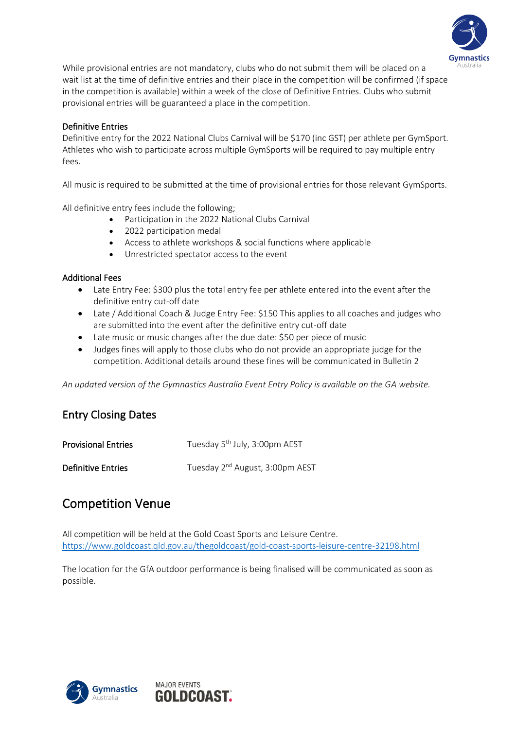

While provisional entries are not mandatory, clubs who do not submit them will be placed on a wait list at the time of definitive entries and their place in the competition will be confirmed (if space in the competition is available) within a week of the close of Definitive Entries. Clubs who submit provisional entries will be guaranteed a place in the competition.

#### Definitive Entries

Definitive entry for the 2022 National Clubs Carnival will be \$170 (inc GST) per athlete per GymSport. Athletes who wish to participate across multiple GymSports will be required to pay multiple entry fees.

All music is required to be submitted at the time of provisional entries for those relevant GymSports.

All definitive entry fees include the following;

- Participation in the 2022 National Clubs Carnival
- 2022 participation medal
- Access to athlete workshops & social functions where applicable
- Unrestricted spectator access to the event

#### Additional Fees

- Late Entry Fee: \$300 plus the total entry fee per athlete entered into the event after the definitive entry cut-off date
- Late / Additional Coach & Judge Entry Fee: \$150 This applies to all coaches and judges who are submitted into the event after the definitive entry cut-off date
- Late music or music changes after the due date: \$50 per piece of music
- Judges fines will apply to those clubs who do not provide an appropriate judge for the competition. Additional details around these fines will be communicated in Bulletin 2

*An updated version of the Gymnastics Australia Event Entry Policy is available on the GA website.* 

#### Entry Closing Dates

| <b>Provisional Entries</b> | Tuesday 5 <sup>th</sup> July, 3:00pm AEST   |
|----------------------------|---------------------------------------------|
| <b>Definitive Entries</b>  | Tuesday 2 <sup>nd</sup> August, 3:00pm AEST |

#### Competition Venue

All competition will be held at the Gold Coast Sports and Leisure Centre. <https://www.goldcoast.qld.gov.au/thegoldcoast/gold-coast-sports-leisure-centre-32198.html>

The location for the GfA outdoor performance is being finalised will be communicated as soon as possible.

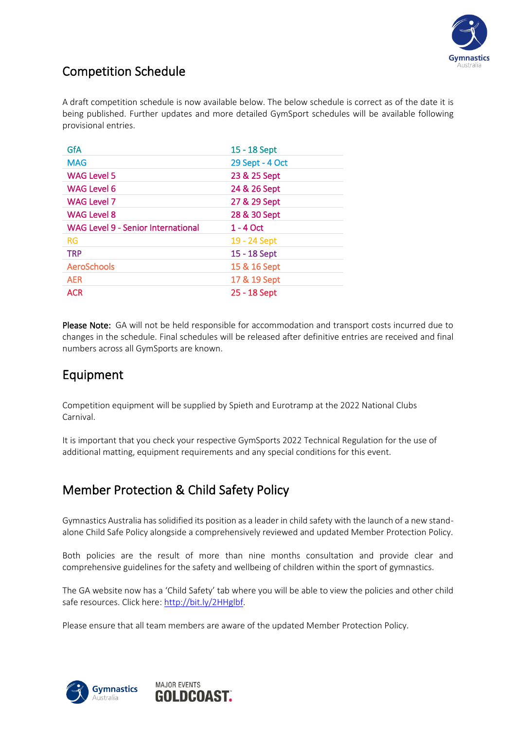

#### Competition Schedule

A draft competition schedule is now available below. The below schedule is correct as of the date it is being published. Further updates and more detailed GymSport schedules will be available following provisional entries.

| GfA                                       | 15 - 18 Sept    |
|-------------------------------------------|-----------------|
| <b>MAG</b>                                | 29 Sept - 4 Oct |
| <b>WAG Level 5</b>                        | 23 & 25 Sept    |
| WAG Level 6                               | 24 & 26 Sept    |
| <b>WAG Level 7</b>                        | 27 & 29 Sept    |
| <b>WAG Level 8</b>                        | 28 & 30 Sept    |
|                                           |                 |
| <b>WAG Level 9 - Senior International</b> | 1 - 4 Oct       |
| <b>RG</b>                                 | 19 - 24 Sept    |
| <b>TRP</b>                                | 15 - 18 Sept    |
| <b>AeroSchools</b>                        | 15 & 16 Sept    |
| <b>AER</b>                                | 17 & 19 Sept    |

Please Note: GA will not be held responsible for accommodation and transport costs incurred due to changes in the schedule. Final schedules will be released after definitive entries are received and final numbers across all GymSports are known.

#### Equipment

Competition equipment will be supplied by Spieth and Eurotramp at the 2022 National Clubs Carnival.

It is important that you check your respective GymSports 2022 Technical Regulation for the use of additional matting, equipment requirements and any special conditions for this event.

### Member Protection & Child Safety Policy

Gymnastics Australia has solidified its position as a leader in child safety with the launch of a new standalone Child Safe Policy alongside a comprehensively reviewed and updated Member Protection Policy.

Both policies are the result of more than nine months consultation and provide clear and comprehensive guidelines for the safety and wellbeing of children within the sport of gymnastics.

The GA website now has a 'Child Safety' tab where you will be able to view the policies and other child safe resources. Click here[: http://bit.ly/2HHglbf.](http://bit.ly/2HHglbf)

Please ensure that all team members are aware of the updated Member Protection Policy.

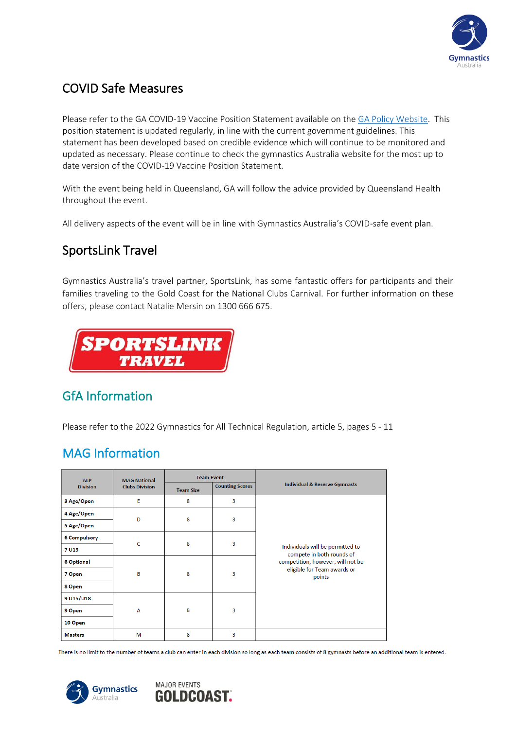

# COVID Safe Measures

Please refer to the GA COVID-19 Vaccine Position Statement available on the [GA Policy Website.](http://www.gymnastics.org.au/GA/About_Us/By-laws__Policies___Technical_Regulations/Ga/About/By-laws__Policies___Technical_Regulations.aspx?hkey=08379530-4144-406e-ba6f-914e3e53d934) This position statement is updated regularly, in line with the current government guidelines. This statement has been developed based on credible evidence which will continue to be monitored and updated as necessary. Please continue to check the gymnastics Australia website for the most up to date version of the COVID-19 Vaccine Position Statement.

With the event being held in Queensland, GA will follow the advice provided by Queensland Health throughout the event.

All delivery aspects of the event will be in line with Gymnastics Australia's COVID-safe event plan.

## SportsLink Travel

Gymnastics Australia's travel partner, SportsLink, has some fantastic offers for participants and their families traveling to the Gold Coast for the National Clubs Carnival. For further information on these offers, please contact Natalie Mersin on 1300 666 675.



### GfA Information

Please refer to the 2022 Gymnastics for All Technical Regulation, article 5, pages 5 - 11

### MAG Information

| <b>ALP</b>          | <b>MAG National</b>   | <b>Team Event</b> |                        |                                                               |
|---------------------|-----------------------|-------------------|------------------------|---------------------------------------------------------------|
| <b>Division</b>     | <b>Clubs Division</b> | <b>Team Size</b>  | <b>Counting Scores</b> | <b>Individual &amp; Reserve Gymnasts</b>                      |
| 3 Age/Open          | E                     | 8                 | 3                      |                                                               |
| 4 Age/Open          | D                     | 8                 | $\overline{3}$         |                                                               |
| 5 Age/Open          |                       |                   |                        |                                                               |
| <b>6 Compulsory</b> | c                     | 8                 | 3                      |                                                               |
| 7 U13               |                       |                   |                        | Individuals will be permitted to<br>compete in both rounds of |
| <b>6 Optional</b>   |                       |                   | 3                      | competition, however, will not be                             |
| 7 Open              | B                     | 8                 |                        | eligible for Team awards or<br>points                         |
| 8 Open              |                       |                   |                        |                                                               |
| 9 U15/U18           |                       |                   | $\overline{3}$         |                                                               |
| 9 Open              | A                     | 8                 |                        |                                                               |
| 10 Open             |                       |                   |                        |                                                               |
| <b>Masters</b>      | м                     | 8                 | 3                      |                                                               |

There is no limit to the number of teams a club can enter in each division so long as each team consists of 8 gymnasts before an additional team is entered.

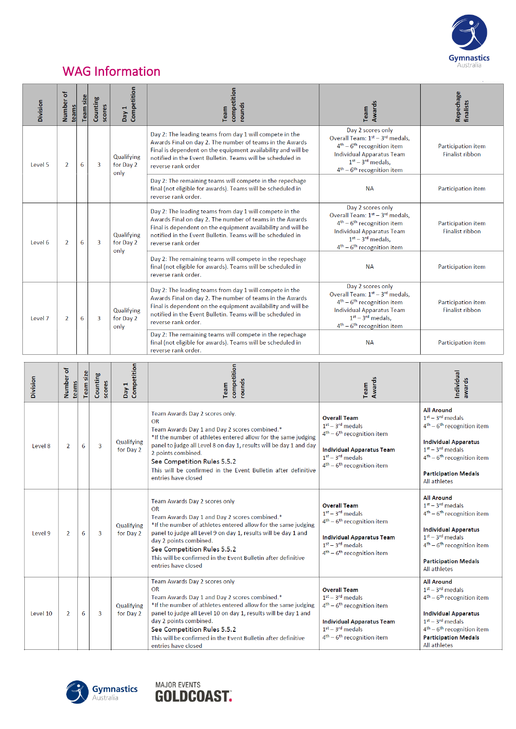

# WAG Information

| Division | Number of<br>teams       | Team size | Counting<br>scores                                                                                                                             | Competition<br>Day 1                                                                                                                                                                                                                                                     | competition<br>rounds<br>Team                                                                                                                                                                                                                                           | Awards<br>Team                                                                                                                                                                                          | Repechage<br>finalists                       |
|----------|--------------------------|-----------|------------------------------------------------------------------------------------------------------------------------------------------------|--------------------------------------------------------------------------------------------------------------------------------------------------------------------------------------------------------------------------------------------------------------------------|-------------------------------------------------------------------------------------------------------------------------------------------------------------------------------------------------------------------------------------------------------------------------|---------------------------------------------------------------------------------------------------------------------------------------------------------------------------------------------------------|----------------------------------------------|
| Level 5  | $\overline{2}$           | 6<br>3    |                                                                                                                                                | Qualifying<br>for Day 2<br>only                                                                                                                                                                                                                                          | Day 2: The leading teams from day 1 will compete in the<br>Awards Final on day 2. The number of teams in the Awards<br>Final is dependent on the equipment availability and will be<br>notified in the Event Bulletin. Teams will be scheduled in<br>reverse rank order | Day 2 scores only<br>Overall Team: 1 <sup>st</sup> - 3 <sup>rd</sup> medals,<br>$4th - 6th$ recognition item<br><b>Individual Apparatus Team</b><br>$1st - 3rd$ medals.<br>$4th - 6th$ recognition item | Participation item<br><b>Finalist ribbon</b> |
|          |                          |           |                                                                                                                                                | Day 2: The remaining teams will compete in the repechage<br>final (not eligible for awards). Teams will be scheduled in<br>reverse rank order.                                                                                                                           | <b>NA</b>                                                                                                                                                                                                                                                               | Participation item                                                                                                                                                                                      |                                              |
| Level 6  | 6<br>3<br>$\overline{2}$ |           | Qualifying<br>for Day 2<br>only                                                                                                                | Day 2: The leading teams from day 1 will compete in the<br>Awards Final on day 2. The number of teams in the Awards<br>Final is dependent on the equipment availability and will be<br>notified in the Event Bulletin. Teams will be scheduled in<br>reverse rank order  | Day 2 scores only<br>Overall Team: 1st - 3rd medals,<br>$4th - 6th$ recognition item<br><b>Individual Apparatus Team</b><br>$1st - 3rd$ medals,<br>$4th - 6th$ recognition item                                                                                         | Participation item<br><b>Finalist ribbon</b>                                                                                                                                                            |                                              |
|          |                          |           |                                                                                                                                                |                                                                                                                                                                                                                                                                          | Day 2: The remaining teams will compete in the repechage<br>final (not eligible for awards). Teams will be scheduled in<br>reverse rank order.                                                                                                                          | <b>NA</b>                                                                                                                                                                                               | Participation item                           |
| Level 7  | 6<br>$\overline{2}$<br>3 |           | Qualifying<br>for Day 2<br>only                                                                                                                | Day 2: The leading teams from day 1 will compete in the<br>Awards Final on day 2. The number of teams in the Awards<br>Final is dependent on the equipment availability and will be<br>notified in the Event Bulletin. Teams will be scheduled in<br>reverse rank order. | Day 2 scores only<br>Overall Team: 1 <sup>st</sup> - 3 <sup>rd</sup> medals.<br>$4th - 6th$ recognition item<br><b>Individual Apparatus Team</b><br>$1st - 3rd$ medals.<br>$4^{th}$ – $6^{th}$ recognition item                                                         | <b>Participation item</b><br><b>Finalist ribbon</b>                                                                                                                                                     |                                              |
|          |                          |           | Day 2: The remaining teams will compete in the repechage<br>final (not eligible for awards). Teams will be scheduled in<br>reverse rank order. | <b>NA</b>                                                                                                                                                                                                                                                                | <b>Participation item</b>                                                                                                                                                                                                                                               |                                                                                                                                                                                                         |                                              |

| Division | ъ<br>Number<br>teams | Team size | Counting<br>scores | Day 1<br>Competition    | competition<br>rounds<br>Team                                                                                                                                                                                                                                                                                                                                                    | Awards<br>Team                                                                                                                                                      | Individual<br>awards                                                                                                                                                                                        |
|----------|----------------------|-----------|--------------------|-------------------------|----------------------------------------------------------------------------------------------------------------------------------------------------------------------------------------------------------------------------------------------------------------------------------------------------------------------------------------------------------------------------------|---------------------------------------------------------------------------------------------------------------------------------------------------------------------|-------------------------------------------------------------------------------------------------------------------------------------------------------------------------------------------------------------|
| Level 8  | $\mathcal{P}$        | 6         | 3                  | Qualifying<br>for Day 2 | Team Awards Day 2 scores only.<br><b>OR</b><br>Team Awards Day 1 and Day 2 scores combined.*<br>*If the number of athletes entered allow for the same judging<br>panel to judge all Level 8 on day 1, results will be day 1 and day<br>2 points combined.<br>See Competition Rules 5.5.2<br>This will be confirmed in the Event Bulletin after definitive<br>entries have closed | <b>Overall Team</b><br>$1st - 3rd$ medals<br>$4th - 6th$ recognition item<br><b>Individual Apparatus Team</b><br>$1st - 3rd$ medals<br>$4th - 6th$ recognition item | <b>All Around</b><br>$1st - 3rd$ medals<br>$4th - 6th$ recognition item<br><b>Individual Apparatus</b><br>$1st - 3rd$ medals<br>$4th - 6th$ recognition item<br><b>Participation Medals</b><br>All athletes |
| Level 9  | 2                    | 6         | 3                  | Qualifying<br>for Day 2 | Team Awards Day 2 scores only<br><b>OR</b><br>Team Awards Day 1 and Day 2 scores combined.*<br>*If the number of athletes entered allow for the same judging<br>panel to judge all Level 9 on day 1, results will be day 1 and<br>day 2 points combined.<br>See Competition Rules 5.5.2<br>This will be confirmed in the Event Bulletin after definitive<br>entries have closed  | <b>Overall Team</b><br>$1st - 3rd$ medals<br>$4th - 6th$ recognition item<br><b>Individual Apparatus Team</b><br>$1st - 3rd$ medals<br>$4th - 6th$ recognition item | <b>All Around</b><br>$1st - 3rd$ medals<br>$4th - 6th$ recognition item<br><b>Individual Apparatus</b><br>$1st - 3rd$ medals<br>$4th - 6th$ recognition item<br><b>Participation Medals</b><br>All athletes |
| Level 10 | $\overline{2}$       | 6         | 3                  | Qualifying<br>for Day 2 | Team Awards Day 2 scores only<br><b>OR</b><br>Team Awards Day 1 and Day 2 scores combined.*<br>*If the number of athletes entered allow for the same judging<br>panel to judge all Level 10 on day 1, results will be day 1 and<br>day 2 points combined.<br>See Competition Rules 5.5.2<br>This will be confirmed in the Event Bulletin after definitive<br>entries have closed | <b>Overall Team</b><br>$1st - 3rd$ medals<br>$4th - 6th$ recognition item<br><b>Individual Apparatus Team</b><br>$1st - 3rd$ medals<br>$4th - 6th$ recognition item | <b>All Around</b><br>$1st - 3rd$ medals<br>$4th - 6th$ recognition item<br><b>Individual Apparatus</b><br>$1st - 3rd$ medals<br>$4th - 6th$ recognition item<br><b>Participation Medals</b><br>All athletes |



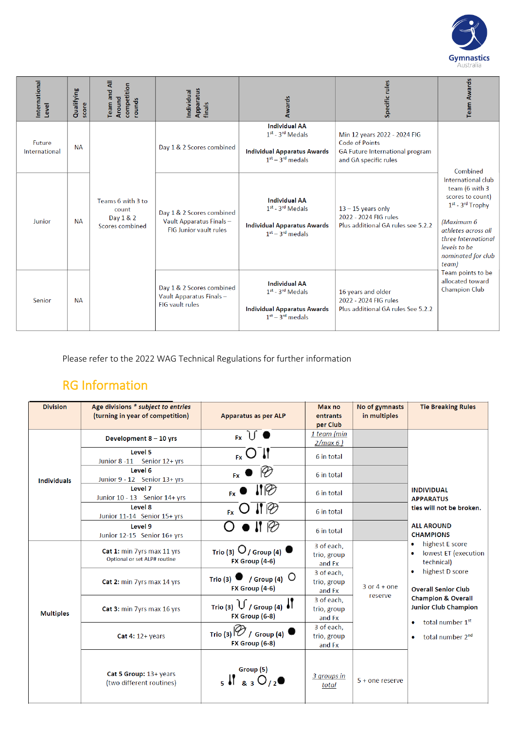

| International<br>Level  | Qualifying<br>score | <b>Team and All</b><br>competition<br>Around<br>rounds     | Apparatus<br>Individual<br>finals                                                     | Awards                                                                                                 | Specific rules                                                                                             | <b>Team Awards</b>                                                                                                                                                                                                                                                             |  |
|-------------------------|---------------------|------------------------------------------------------------|---------------------------------------------------------------------------------------|--------------------------------------------------------------------------------------------------------|------------------------------------------------------------------------------------------------------------|--------------------------------------------------------------------------------------------------------------------------------------------------------------------------------------------------------------------------------------------------------------------------------|--|
| Future<br>International | <b>NA</b>           |                                                            | Day 1 & 2 Scores combined                                                             | <b>Individual AA</b><br>$1st - 3rd$ Medals<br><b>Individual Apparatus Awards</b><br>$1st - 3rd$ medals | Min 12 years 2022 - 2024 FIG<br>Code of Points<br>GA Future International program<br>and GA specific rules |                                                                                                                                                                                                                                                                                |  |
| Junior                  | <b>NA</b>           | Teams 6 with 3 to<br>count<br>Day 1 & 2<br>Scores combined | Day 1 & 2 Scores combined<br>Vault Apparatus Finals-<br><b>FIG Junior vault rules</b> | <b>Individual AA</b><br>$1st - 3rd$ Medals<br><b>Individual Apparatus Awards</b><br>$1st - 3rd$ medals | $13 - 15$ years only<br>2022 - 2024 FIG rules<br>Plus additional GA rules see 5.2.2                        | Combined<br>International club<br>team (6 with 3<br>scores to count)<br>$1^{st}$ - $3^{rd}$ Trophy<br>(Maximum 6<br>athletes across all<br>three International<br>levels to be<br>nominated for club<br>team)<br>Team points to be<br>allocated toward<br><b>Champion Club</b> |  |
| Senior                  | <b>NA</b>           |                                                            | Day 1 & 2 Scores combined<br>Vault Apparatus Finals -<br><b>FIG</b> vault rules       | <b>Individual AA</b><br>$1st - 3rd$ Medals<br><b>Individual Apparatus Awards</b><br>$1st - 3rd$ medals | 16 years and older<br>2022 - 2024 FIG rules<br>Plus additional GA rules See 5.2.2                          |                                                                                                                                                                                                                                                                                |  |

Please refer to the 2022 WAG Technical Regulations for further information

## RG Information

| <b>Division</b>    | Age divisions * subject to entries<br>(turning in year of competition) | <b>Apparatus as per ALP</b>                                     | Max no<br>entrants<br>per Club      | No of gymnasts<br>in multiples | <b>Tie Breaking Rules</b>                                                                                                                                                                                                                                                                                  |
|--------------------|------------------------------------------------------------------------|-----------------------------------------------------------------|-------------------------------------|--------------------------------|------------------------------------------------------------------------------------------------------------------------------------------------------------------------------------------------------------------------------------------------------------------------------------------------------------|
|                    | Development 8 - 10 yrs                                                 | $F_X$ $\bigcup$ $\bullet$                                       | 1 team (min<br>2/max 6              |                                |                                                                                                                                                                                                                                                                                                            |
|                    | Level 5<br>Junior 8 -11 Senior 12+ yrs                                 | $_{FX}$ $\bigcirc$ $\bigcup$                                    | 6 in total                          |                                |                                                                                                                                                                                                                                                                                                            |
| <b>Individuals</b> | Level 6<br>Junior 9 - 12 Senior 13+ yrs                                | $F_X \bullet \emptyset$                                         | 6 in total                          |                                |                                                                                                                                                                                                                                                                                                            |
|                    | Level 7<br>Junior 10 - 13 Senior 14+ yrs                               | $\blacksquare$                                                  | 6 in total                          |                                | <b>INDIVIDUAL</b><br><b>APPARATUS</b>                                                                                                                                                                                                                                                                      |
|                    | Level 8<br>Junior 11-14 Senior 15+ yrs                                 | $_{\rm ex}$ O $\parallel \varphi$                               | 6 in total                          |                                | ties will not be broken.                                                                                                                                                                                                                                                                                   |
|                    | Level 9<br>Junior 12-15 Senior 16+ yrs                                 | $O\bullet$ if $\varnothing$                                     | 6 in total                          |                                | <b>ALL AROUND</b><br><b>CHAMPIONS</b><br>highest E score<br>$\bullet$<br>lowest ET (execution<br>technical)<br>highest D score<br><b>Overall Senior Club</b><br><b>Champion &amp; Overall</b><br><b>Junior Club Champion</b><br>total number 1st<br>$\bullet$<br>total number 2 <sup>nd</sup><br>$\bullet$ |
|                    | Cat 1: min 7yrs max 11 yrs<br>Optional or set ALP# routine             | Trio (3) $O$ / Group (4)<br>$FX$ Group $(4-6)$                  | 3 of each.<br>trio, group<br>and Fx |                                |                                                                                                                                                                                                                                                                                                            |
|                    | Cat 2: min 7yrs max 14 yrs                                             | Trio (3) $\bullet$ / Group (4) $\circ$<br><b>FX Group (4-6)</b> | 3 of each,<br>trio, group<br>and Fx | $3$ or $4 +$ one<br>reserve    |                                                                                                                                                                                                                                                                                                            |
| <b>Multiples</b>   | Cat 3: min 7yrs max 16 yrs                                             | Trio (3) $\bigcup$ / Group (4) $\bigcup$<br>FX Group (6-8)      | 3 of each.<br>trio, group<br>and Fx |                                |                                                                                                                                                                                                                                                                                                            |
|                    | Cat 4: $12+$ years                                                     | Trio (3) $\varphi$ / Group (4)<br>FX Group (6-8)                | 3 of each.<br>trio, group<br>and Fx |                                |                                                                                                                                                                                                                                                                                                            |
|                    | Cat 5 Group: 13+ years<br>(two different routines)                     | Group (5)<br>$5$ $\sqrt{2}$ $830/2$                             | 3 groups in<br>total                | 5 + one reserve                |                                                                                                                                                                                                                                                                                                            |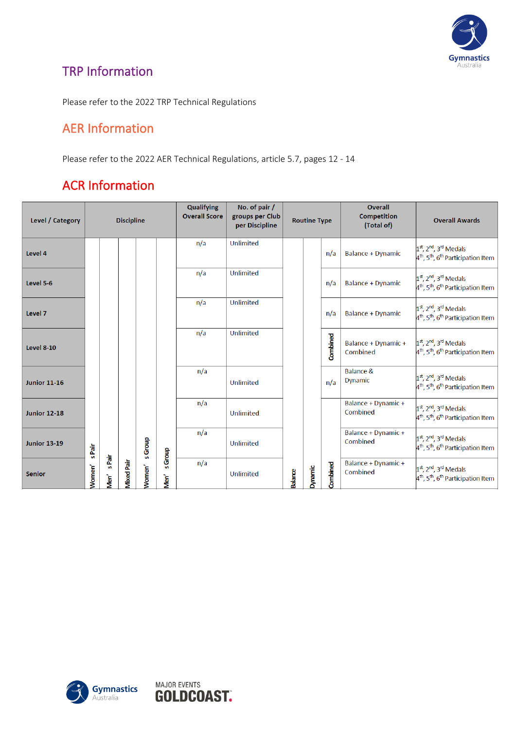

## TRP Information

Please refer to the 2022 TRP Technical Regulations

#### AER Information

Please refer to the 2022 AER Technical Regulations, article 5.7, pages 12 - 14

## ACR Information

| Level / Category    |        |                | <b>Discipline</b> |                    |                | Qualifying<br><b>Overall Score</b> | No. of pair /<br>groups per Club<br>per Discipline |                | <b>Routine Type</b> |          | Overall<br><b>Competition</b><br>(Total of) | <b>Overall Awards</b>                                                                                                      |
|---------------------|--------|----------------|-------------------|--------------------|----------------|------------------------------------|----------------------------------------------------|----------------|---------------------|----------|---------------------------------------------|----------------------------------------------------------------------------------------------------------------------------|
| Level 4             |        |                |                   |                    |                | n/a                                | Unlimited                                          |                |                     | n/a      | <b>Balance + Dynamic</b>                    | $1st$ , 2 <sup>nd</sup> , 3 <sup>rd</sup> Medals<br>4 <sup>th</sup> , 5 <sup>th</sup> , 6 <sup>th</sup> Participation Item |
| Level 5-6           |        |                |                   |                    |                | n/a                                | <b>Unlimited</b>                                   |                |                     | n/a      | <b>Balance + Dynamic</b>                    | $1st$ , 2 <sup>nd</sup> , 3 <sup>rd</sup> Medals<br>4 <sup>th</sup> , 5 <sup>th</sup> , 6 <sup>th</sup> Participation Item |
| Level 7             |        |                |                   |                    |                | n/a                                | <b>Unlimited</b>                                   |                |                     | n/a      | <b>Balance + Dynamic</b>                    | $1st$ , 2 <sup>nd</sup> , 3 <sup>rd</sup> Medals<br>4 <sup>th</sup> , 5 <sup>th</sup> , 6 <sup>th</sup> Participation Item |
| <b>Level 8-10</b>   |        |                |                   |                    |                | n/a                                | <b>Unlimited</b>                                   |                |                     | Combined | Balance + Dynamic +<br>Combined             | $1st$ , 2 <sup>nd</sup> , 3 <sup>rd</sup> Medals<br>4 <sup>th</sup> , 5 <sup>th</sup> , 6 <sup>th</sup> Participation Item |
| <b>Junior 11-16</b> |        |                |                   |                    |                | n/a                                | Unlimited                                          |                |                     | n/a      | Balance &<br>Dynamic                        | $1st$ , 2 <sup>nd</sup> , 3 <sup>rd</sup> Medals<br>4 <sup>th</sup> , 5 <sup>th</sup> , 6 <sup>th</sup> Participation Item |
| <b>Junior 12-18</b> |        |                |                   |                    |                | n/a                                | <b>Unlimited</b>                                   |                |                     |          | Balance + Dynamic +<br>Combined             | 1st, 2nd, 3rd Medals<br>4 <sup>th</sup> , 5 <sup>th</sup> , 6 <sup>th</sup> Participation Item                             |
| <b>Junior 13-19</b> | s Pair |                |                   | s Group            | <b>s</b> Group | n/a                                | Unlimited                                          |                |                     |          | Balance + Dynamic +<br>Combined             | $1st$ , 2 <sup>nd</sup> , 3 <sup>rd</sup> Medals<br>4 <sup>th</sup> , 5 <sup>th</sup> , 6 <sup>th</sup> Participation Item |
| <b>Senior</b>       | Nomen' | s Pair<br>Men' | <b>Mixed Pair</b> | Women <sup>'</sup> | Men'           | n/a                                | Unlimited                                          | <b>Balance</b> | Dynamic             | Combined | Balance + Dynamic +<br>Combined             | $1st$ , 2 <sup>nd</sup> , 3 <sup>rd</sup> Medals<br>4 <sup>th</sup> , 5 <sup>th</sup> , 6 <sup>th</sup> Participation Item |



**MAJOR EVENTS** 

**GOLDCOAST.**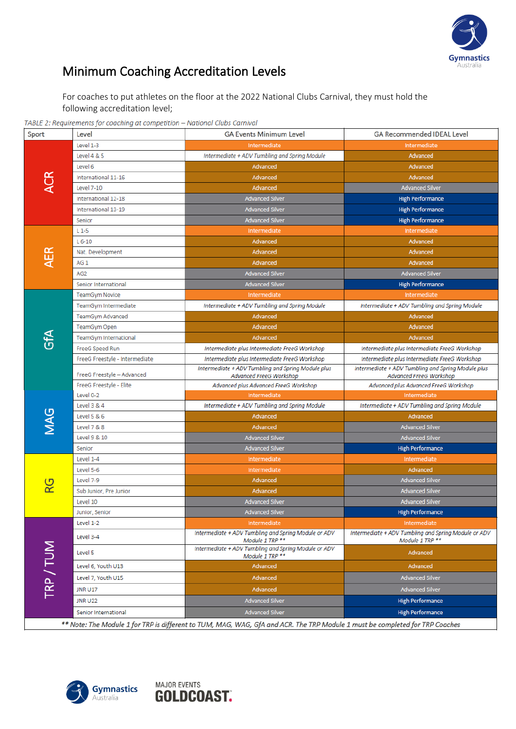

 $\overline{\phantom{a}}$ 

# Minimum Coaching Accreditation Levels

For coaches to put athletes on the floor at the 2022 National Clubs Carnival, they must hold the following accreditation level;

TABLE 2: Requirements for coaching at competition - National Clubs Carnival

| Sport      | Level                          | <b>GA Events Minimum Level</b>                                                | <b>GA Recommended IDEAL Level</b>                                             |  |  |
|------------|--------------------------------|-------------------------------------------------------------------------------|-------------------------------------------------------------------------------|--|--|
|            | Level 1-3                      | Intermediate                                                                  | Intermediate                                                                  |  |  |
|            | Level 4 & 5                    | Intermediate + ADV Tumbling and Spring Module                                 | Advanced                                                                      |  |  |
|            | Level 6                        | Advanced                                                                      | Advanced                                                                      |  |  |
| ACR        | International 11-16            | Advanced                                                                      | Advanced                                                                      |  |  |
|            | <b>Level 7-10</b>              | Advanced                                                                      | <b>Advanced Silver</b>                                                        |  |  |
|            | International 12-18            | <b>Advanced Silver</b>                                                        | <b>High Performance</b>                                                       |  |  |
|            | International 13-19            | <b>Advanced Silver</b>                                                        | <b>High Performance</b>                                                       |  |  |
|            | Senior                         | <b>Advanced Silver</b>                                                        | <b>High Performance</b>                                                       |  |  |
|            | $L1-5$                         | Intermediate                                                                  | Intermediate                                                                  |  |  |
|            | $L$ 6-10                       | Advanced                                                                      | Advanced                                                                      |  |  |
| ÆR         | Nat. Development               | Advanced                                                                      | Advanced                                                                      |  |  |
|            | AG <sub>1</sub>                | Advanced                                                                      | Advanced                                                                      |  |  |
|            | AG <sub>2</sub>                | <b>Advanced Silver</b>                                                        | <b>Advanced Silver</b>                                                        |  |  |
|            | Senior International           | <b>Advanced Silver</b>                                                        | <b>High Performance</b>                                                       |  |  |
|            | <b>TeamGym Novice</b>          | Intermediate                                                                  | Intermediate                                                                  |  |  |
|            | TeamGym Intermediate           | Intermediate + ADV Tumbling and Spring Module                                 | Intermediate + ADV Tumbling and Spring Module                                 |  |  |
|            | TeamGym Advanced               | Advanced                                                                      | Advanced                                                                      |  |  |
|            | TeamGym Open                   | Advanced                                                                      | Advanced                                                                      |  |  |
| €<br>Gf∆   | TeamGym International          | Advanced                                                                      | Advanced                                                                      |  |  |
|            | FreeG Speed Run                | Intermediate plus Intermediate FreeG Workshop                                 | Intermediate plus Intermediate FreeG Workshop                                 |  |  |
|            | FreeG Freestyle - Intermediate | Intermediate plus Intermediate FreeG Workshop                                 | Intermediate plus Intermediate FreeG Workshop                                 |  |  |
|            | FreeG Freestyle - Advanced     | Intermediate + ADV Tumbling and Spring Module plus<br>Advanced FreeG Workshop | Intermediate + ADV Tumbling and Spring Module plus<br>Advanced FreeG Workshop |  |  |
|            | FreeG Freestyle - Elite        | Advanced plus Advanced FreeG Workshop                                         | Advanced plus Advanced FreeG Workshop                                         |  |  |
|            | Level 0-2                      | Intermediate                                                                  | Intermediate                                                                  |  |  |
|            | Level 3 & 4                    | Intermediate + ADV Tumbling and Spring Module                                 | Intermediate + ADV Tumbling and Spring Module                                 |  |  |
| <b>MAG</b> | Level 5 & 6                    | Advanced                                                                      | Advanced                                                                      |  |  |
|            | Level 7 & 8                    | Advanced                                                                      | <b>Advanced Silver</b>                                                        |  |  |
|            | Level 9 & 10                   | <b>Advanced Silver</b>                                                        | <b>Advanced Silver</b>                                                        |  |  |
|            | Senior                         | <b>Advanced Silver</b>                                                        | <b>High Performance</b>                                                       |  |  |
|            | Level 1-4                      | Intermediate                                                                  | Intermediate                                                                  |  |  |
|            | Level 5-6                      | Intermediate                                                                  | Advanced                                                                      |  |  |
| ပ္က        | Level 7-9                      | Advanced                                                                      | <b>Advanced Silver</b>                                                        |  |  |
|            | Sub Junior, Pre Junior         | Advanced                                                                      | <b>Advanced Silver</b>                                                        |  |  |
|            | Level 10                       | <b>Advanced Silver</b>                                                        | <b>Advanced Silver</b>                                                        |  |  |
|            | Junior, Senior                 | <b>Advanced Silver</b>                                                        | <b>High Performance</b>                                                       |  |  |
|            | Level 1-2                      | Intermediate                                                                  | Intermediate                                                                  |  |  |
|            | Level 3-4                      | Intermediate + ADV Tumbling and Spring Module or ADV<br>Module 1 TRP **       | Intermediate + ADV Tumbling and Spring Module or ADV<br>Module 1 TRP **       |  |  |
| TRP/TUM    | Level 5                        | Intermediate + ADV Tumbling and Spring Module or ADV<br>Module 1 TRP **       | Advanced                                                                      |  |  |
|            | Level 6, Youth U13             | Advanced                                                                      | Advanced                                                                      |  |  |
|            | Level 7, Youth U15             | Advanced                                                                      | <b>Advanced Silver</b>                                                        |  |  |
|            |                                |                                                                               | <b>Advanced Silver</b>                                                        |  |  |
|            | <b>JNR U17</b>                 | Advanced                                                                      |                                                                               |  |  |
|            | <b>JNR U22</b>                 | <b>Advanced Silver</b>                                                        | <b>High Performance</b>                                                       |  |  |
|            | Senior International           | <b>Advanced Silver</b>                                                        | <b>High Performance</b>                                                       |  |  |

\*\* Note: The Module 1 for TRP is different to TUM, MAG, WAG, GfA and ACR. The TRP Module 1 must be completed for TRP Coaches